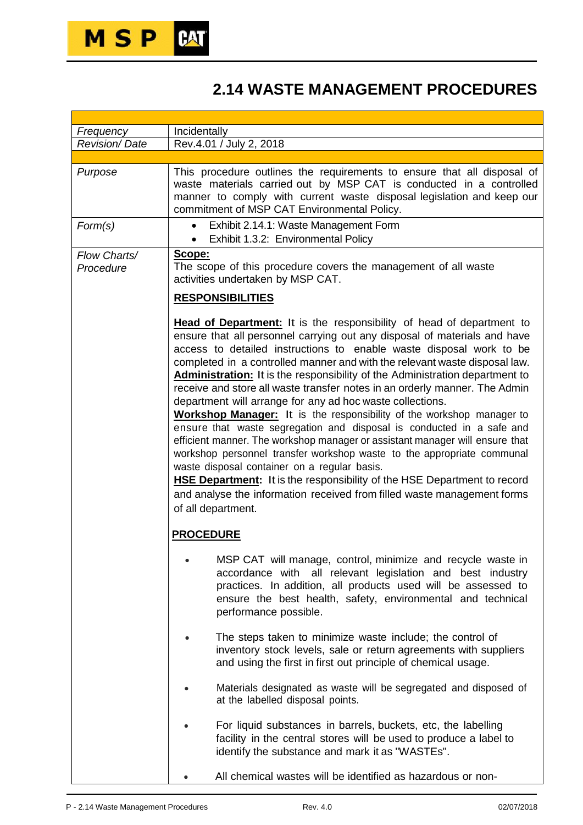# **2.14 WASTE MANAGEMENT PROCEDURES**

| Frequency                 | Incidentally                                                                                                                                                                                                                                                                                                                                                                                                                                                                                                                                                                                                                                                                                                                                                                                                                                                                                                                                                                                                                                                                                            |  |  |
|---------------------------|---------------------------------------------------------------------------------------------------------------------------------------------------------------------------------------------------------------------------------------------------------------------------------------------------------------------------------------------------------------------------------------------------------------------------------------------------------------------------------------------------------------------------------------------------------------------------------------------------------------------------------------------------------------------------------------------------------------------------------------------------------------------------------------------------------------------------------------------------------------------------------------------------------------------------------------------------------------------------------------------------------------------------------------------------------------------------------------------------------|--|--|
| <b>Revision/Date</b>      | Rev.4.01 / July 2, 2018                                                                                                                                                                                                                                                                                                                                                                                                                                                                                                                                                                                                                                                                                                                                                                                                                                                                                                                                                                                                                                                                                 |  |  |
|                           |                                                                                                                                                                                                                                                                                                                                                                                                                                                                                                                                                                                                                                                                                                                                                                                                                                                                                                                                                                                                                                                                                                         |  |  |
| Purpose                   | This procedure outlines the requirements to ensure that all disposal of<br>waste materials carried out by MSP CAT is conducted in a controlled<br>manner to comply with current waste disposal legislation and keep our<br>commitment of MSP CAT Environmental Policy.                                                                                                                                                                                                                                                                                                                                                                                                                                                                                                                                                                                                                                                                                                                                                                                                                                  |  |  |
| Form(s)                   | Exhibit 2.14.1: Waste Management Form<br>$\bullet$<br>Exhibit 1.3.2: Environmental Policy<br>$\bullet$                                                                                                                                                                                                                                                                                                                                                                                                                                                                                                                                                                                                                                                                                                                                                                                                                                                                                                                                                                                                  |  |  |
| Flow Charts/<br>Procedure | Scope:<br>The scope of this procedure covers the management of all waste<br>activities undertaken by MSP CAT.                                                                                                                                                                                                                                                                                                                                                                                                                                                                                                                                                                                                                                                                                                                                                                                                                                                                                                                                                                                           |  |  |
|                           | <b>RESPONSIBILITIES</b>                                                                                                                                                                                                                                                                                                                                                                                                                                                                                                                                                                                                                                                                                                                                                                                                                                                                                                                                                                                                                                                                                 |  |  |
|                           | <b>Head of Department:</b> It is the responsibility of head of department to<br>ensure that all personnel carrying out any disposal of materials and have<br>access to detailed instructions to enable waste disposal work to be<br>completed in a controlled manner and with the relevant waste disposal law.<br><b>Administration:</b> It is the responsibility of the Administration department to<br>receive and store all waste transfer notes in an orderly manner. The Admin<br>department will arrange for any ad hoc waste collections.<br><b>Workshop Manager:</b> It is the responsibility of the workshop manager to<br>ensure that waste segregation and disposal is conducted in a safe and<br>efficient manner. The workshop manager or assistant manager will ensure that<br>workshop personnel transfer workshop waste to the appropriate communal<br>waste disposal container on a regular basis.<br><b>HSE Department:</b> It is the responsibility of the HSE Department to record<br>and analyse the information received from filled waste management forms<br>of all department. |  |  |
|                           | <b>PROCEDURE</b>                                                                                                                                                                                                                                                                                                                                                                                                                                                                                                                                                                                                                                                                                                                                                                                                                                                                                                                                                                                                                                                                                        |  |  |
|                           | MSP CAT will manage, control, minimize and recycle waste in<br>accordance with all relevant legislation and best industry<br>practices. In addition, all products used will be assessed to<br>ensure the best health, safety, environmental and technical<br>performance possible.                                                                                                                                                                                                                                                                                                                                                                                                                                                                                                                                                                                                                                                                                                                                                                                                                      |  |  |
|                           | The steps taken to minimize waste include; the control of<br>inventory stock levels, sale or return agreements with suppliers<br>and using the first in first out principle of chemical usage.                                                                                                                                                                                                                                                                                                                                                                                                                                                                                                                                                                                                                                                                                                                                                                                                                                                                                                          |  |  |
|                           | Materials designated as waste will be segregated and disposed of<br>at the labelled disposal points.                                                                                                                                                                                                                                                                                                                                                                                                                                                                                                                                                                                                                                                                                                                                                                                                                                                                                                                                                                                                    |  |  |
|                           | For liquid substances in barrels, buckets, etc, the labelling<br>facility in the central stores will be used to produce a label to<br>identify the substance and mark it as "WASTEs".                                                                                                                                                                                                                                                                                                                                                                                                                                                                                                                                                                                                                                                                                                                                                                                                                                                                                                                   |  |  |
|                           | All chemical wastes will be identified as hazardous or non-                                                                                                                                                                                                                                                                                                                                                                                                                                                                                                                                                                                                                                                                                                                                                                                                                                                                                                                                                                                                                                             |  |  |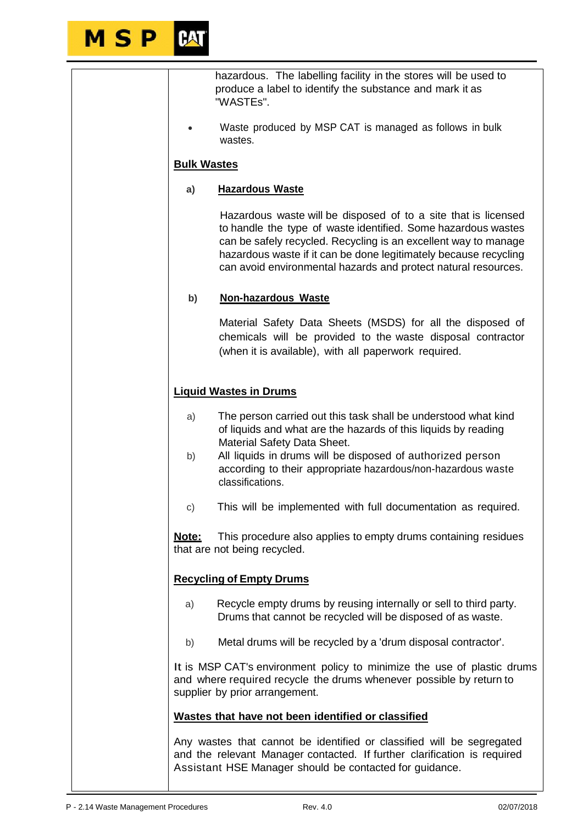

|                                                                                                                                                                                  | hazardous. The labelling facility in the stores will be used to<br>produce a label to identify the substance and mark it as<br>"WASTEs".                                                                                                                                                                                                 |  |  |  |
|----------------------------------------------------------------------------------------------------------------------------------------------------------------------------------|------------------------------------------------------------------------------------------------------------------------------------------------------------------------------------------------------------------------------------------------------------------------------------------------------------------------------------------|--|--|--|
|                                                                                                                                                                                  | Waste produced by MSP CAT is managed as follows in bulk<br>wastes.                                                                                                                                                                                                                                                                       |  |  |  |
| <b>Bulk Wastes</b>                                                                                                                                                               |                                                                                                                                                                                                                                                                                                                                          |  |  |  |
| a)                                                                                                                                                                               | <b>Hazardous Waste</b>                                                                                                                                                                                                                                                                                                                   |  |  |  |
|                                                                                                                                                                                  | Hazardous waste will be disposed of to a site that is licensed<br>to handle the type of waste identified. Some hazardous wastes<br>can be safely recycled. Recycling is an excellent way to manage<br>hazardous waste if it can be done legitimately because recycling<br>can avoid environmental hazards and protect natural resources. |  |  |  |
| b)                                                                                                                                                                               | <b>Non-hazardous Waste</b>                                                                                                                                                                                                                                                                                                               |  |  |  |
|                                                                                                                                                                                  | Material Safety Data Sheets (MSDS) for all the disposed of<br>chemicals will be provided to the waste disposal contractor<br>(when it is available), with all paperwork required.                                                                                                                                                        |  |  |  |
| <b>Liquid Wastes in Drums</b>                                                                                                                                                    |                                                                                                                                                                                                                                                                                                                                          |  |  |  |
| a)                                                                                                                                                                               | The person carried out this task shall be understood what kind<br>of liquids and what are the hazards of this liquids by reading<br>Material Safety Data Sheet.                                                                                                                                                                          |  |  |  |
| b)                                                                                                                                                                               | All liquids in drums will be disposed of authorized person<br>according to their appropriate hazardous/non-hazardous waste<br>classifications.                                                                                                                                                                                           |  |  |  |
| C)                                                                                                                                                                               | This will be implemented with full documentation as required                                                                                                                                                                                                                                                                             |  |  |  |
| Note:                                                                                                                                                                            | This procedure also applies to empty drums containing residues<br>that are not being recycled.                                                                                                                                                                                                                                           |  |  |  |
|                                                                                                                                                                                  | <b>Recycling of Empty Drums</b>                                                                                                                                                                                                                                                                                                          |  |  |  |
| a)                                                                                                                                                                               | Recycle empty drums by reusing internally or sell to third party.<br>Drums that cannot be recycled will be disposed of as waste.                                                                                                                                                                                                         |  |  |  |
| b)                                                                                                                                                                               | Metal drums will be recycled by a 'drum disposal contractor'.                                                                                                                                                                                                                                                                            |  |  |  |
| It is MSP CAT's environment policy to minimize the use of plastic drums<br>and where required recycle the drums whenever possible by return to<br>supplier by prior arrangement. |                                                                                                                                                                                                                                                                                                                                          |  |  |  |
|                                                                                                                                                                                  | Wastes that have not been identified or classified                                                                                                                                                                                                                                                                                       |  |  |  |
|                                                                                                                                                                                  | Any wastes that cannot be identified or classified will be segregated<br>and the relevant Manager contacted. If further clarification is required<br>Assistant HSE Manager should be contacted for guidance.                                                                                                                             |  |  |  |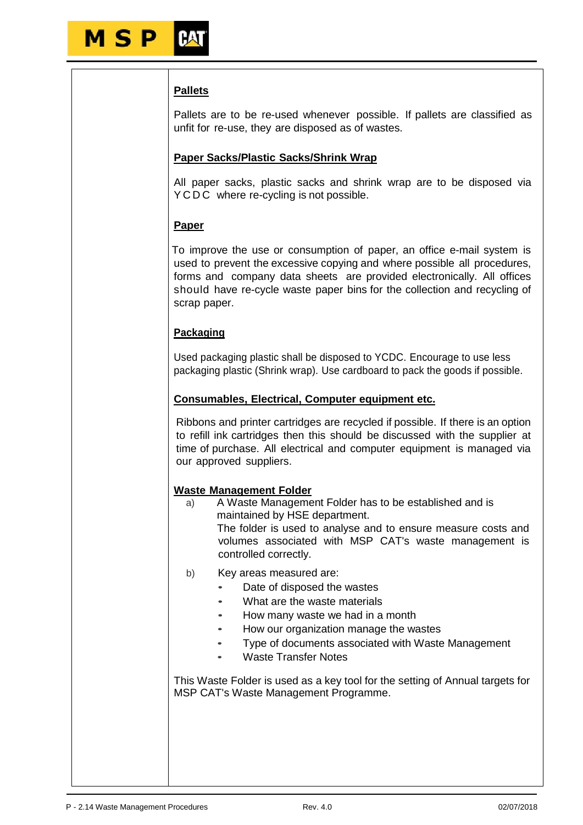### **Pallets**

Pallets are to be re-used whenever possible. If pallets are classified as unfit for re-use, they are disposed as of wastes.

## **Paper Sacks/Plastic Sacks/Shrink Wrap**

All paper sacks, plastic sacks and shrink wrap are to be disposed via YCDC where re-cycling is not possible.

### **Paper**

To improve the use or consumption of paper, an office e-mail system is used to prevent the excessive copying and where possible all procedures, forms and company data sheets are provided electronically. All offices should have re-cycle waste paper bins for the collection and recycling of scrap paper.

### **Packaging**

Used packaging plastic shall be disposed to YCDC. Encourage to use less packaging plastic (Shrink wrap). Use cardboard to pack the goods if possible.

### **Consumables, Electrical, Computer equipment etc.**

Ribbons and printer cartridges are recycled if possible. If there is an option to refill ink cartridges then this should be discussed with the supplier at time of purchase. All electrical and computer equipment is managed via our approved suppliers.

### **Waste Management Folder**

- a) A Waste Management Folder has to be established and is maintained by HSE department. The folder is used to analyse and to ensure measure costs and volumes associated with MSP CAT's waste management is controlled correctly.
- b) Key areas measured are:
	- Date of disposed the wastes
	- What are the waste materials
	- How many waste we had in a month
	- How our organization manage the wastes
	- Type of documents associated with Waste Management
	- Waste Transfer Notes

This Waste Folder is used as a key tool for the setting of Annual targets for MSP CAT's Waste Management Programme.